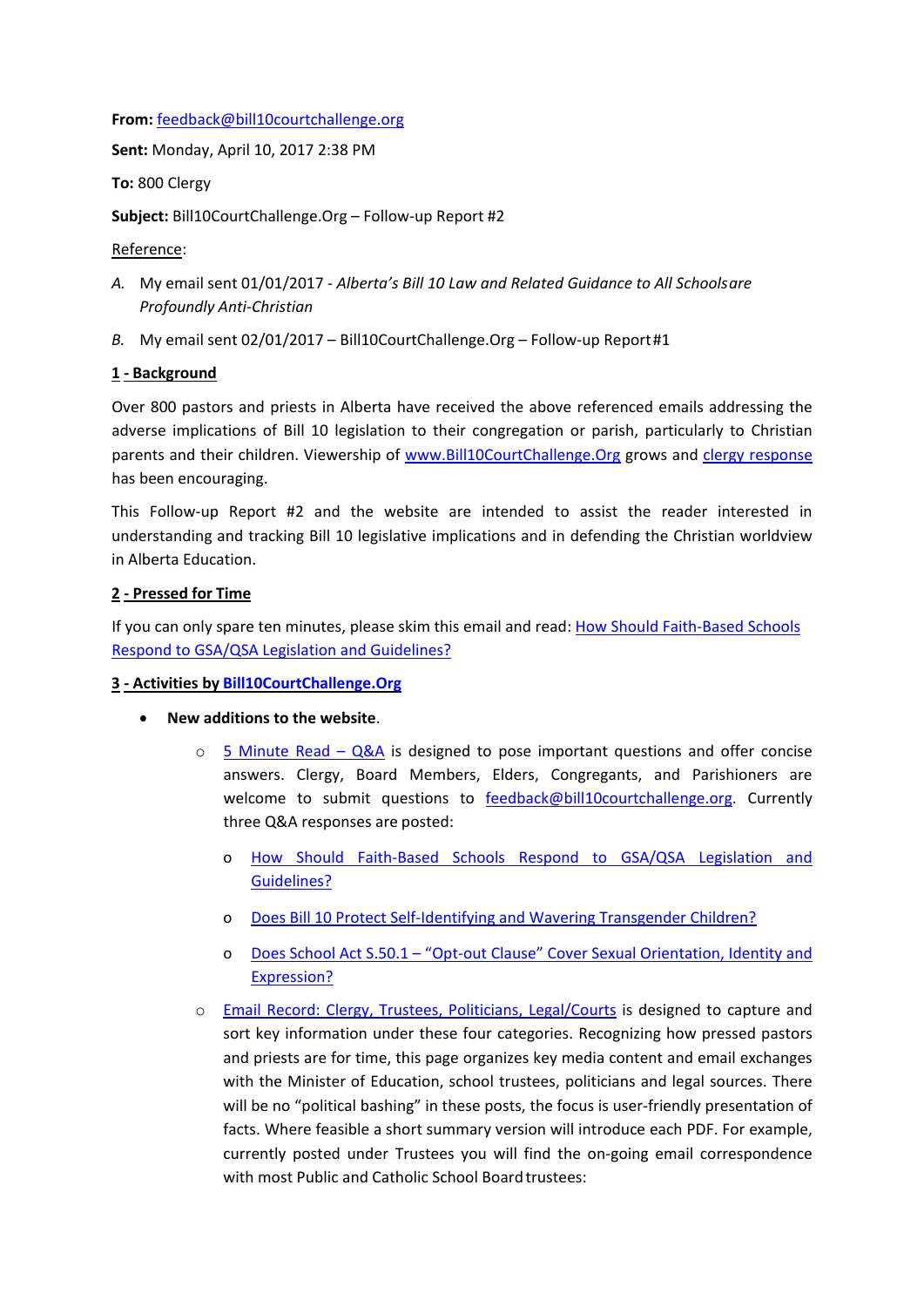#### **From:** [feedback@bill10courtchallenge.org](mailto:feedback@bill10courtchallenge.org)

**Sent:** Monday, April 10, 2017 2:38 PM

**To:** 800 Clergy

**Subject:** Bill10CourtChallenge.Org – Follow-up Report #2

Reference:

- *A.* My email sent 01/01/2017 *Alberta's Bill 10 Law and Related Guidance to All Schoolsare Profoundly Anti-Christian*
- *B.* My email sent 02/01/2017 Bill10CourtChallenge.Org Follow-up Report#1

## **1 - Background**

Over 800 pastors and priests in Alberta have received the above referenced emails addressing the adverse implications of Bill 10 legislation to their congregation or parish, particularly to Christian parents and their children. Viewership of [www.Bill10CourtChallenge.Org](http://www.bill10courtchallenge.org/) grows and [clergy response](http://bill10courtchallenge.org/clergy/) has been encouraging.

This Follow-up Report #2 and the website are intended to assist the reader interested in understanding and tracking Bill 10 legislative implications and in defending the Christian worldview in Alberta Education.

## **2 - Pressed for Time**

If you can only spare ten minutes, please skim this email and read: [How Should Faith-Based Schools](http://bill10courtchallenge.org/how-should-faith-based-schools-respond-to-gsa-qsa-legislation-and-guidelines/) [Respond to GSA/QSA Legislation and Guidelines?](http://bill10courtchallenge.org/how-should-faith-based-schools-respond-to-gsa-qsa-legislation-and-guidelines/)

#### **3 - Activities by [Bill10CourtChallenge.Org](http://www.bill10courtchallenge.org/)**

- **New additions to the website**.
	- $\circ$  [5 Minute Read –](http://bill10courtchallenge.org/5-minute-read-qa/) Q&A is designed to pose important questions and offer concise answers. Clergy, Board Members, Elders, Congregants, and Parishioners are welcome to submit questions to [feedback@bill10courtchallenge.org.](mailto:feedback@bill10courtchallenge.org) Currently three Q&A responses are posted:
		- o [How Should Faith-Based Schools Respond to GSA/QSA Legislation and](http://bill10courtchallenge.org/how-should-faith-based-schools-respond-to-gsa-qsa-legislation-and-guidelines/)  [Guidelines?](http://bill10courtchallenge.org/how-should-faith-based-schools-respond-to-gsa-qsa-legislation-and-guidelines/)
		- o [Does Bill 10 Protect Self-Identifying and Wavering Transgender Children?](http://bill10courtchallenge.org/does-bill-10-protect-self-identifying-and-wavering-transgender-children/)
		- o Does School Act S.50.1 ["Opt-out Clause" Cover Sexual Orientation, Identity and](http://bill10courtchallenge.org/does-alberta-school-act-s-50-1-cover-sexual-orientation-sexual-identity-sexual-expression/)  [Expression?](http://bill10courtchallenge.org/does-alberta-school-act-s-50-1-cover-sexual-orientation-sexual-identity-sexual-expression/)
	- o [Email Record: Clergy, Trustees, Politicians, Legal/Courts](http://bill10courtchallenge.org/email-record/) is designed to capture and sort key information under these four categories. Recognizing how pressed pastors and priests are for time, this page organizes key media content and email exchanges with the Minister of Education, school trustees, politicians and legal sources. There will be no "political bashing" in these posts, the focus is user-friendly presentation of facts. Where feasible a short summary version will introduce each PDF. For example, currently posted under Trustees you will find the on-going email correspondence with most Public and Catholic School Board trustees: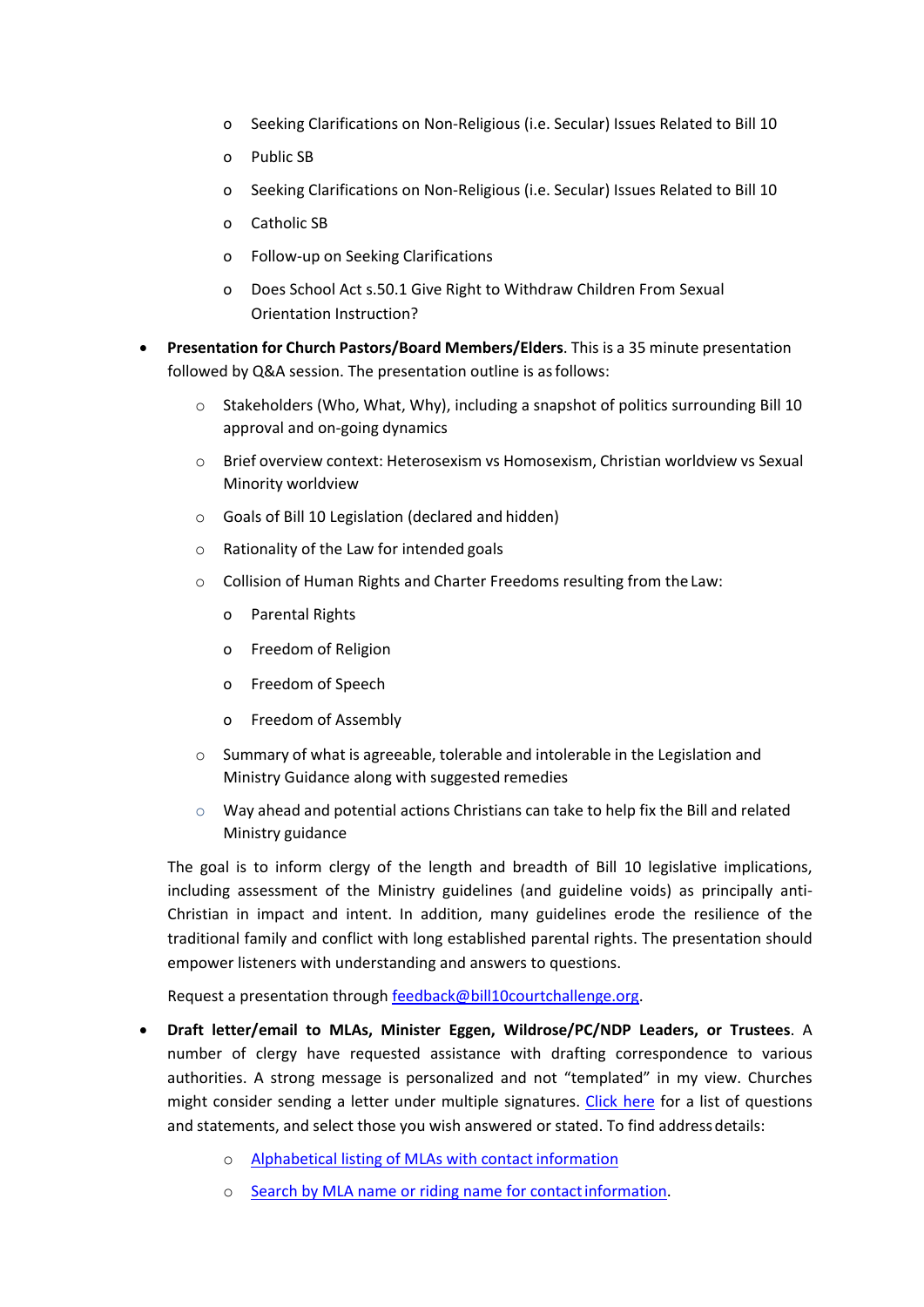- o Seeking Clarifications on Non-Religious (i.e. Secular) Issues Related to Bill 10
- o Public SB
- o Seeking Clarifications on Non-Religious (i.e. Secular) Issues Related to Bill 10
- o Catholic SB
- o Follow-up on Seeking Clarifications
- o Does School Act s.50.1 Give Right to Withdraw Children From Sexual Orientation Instruction?
- **Presentation for Church Pastors/Board Members/Elders**. This is a 35 minute presentation followed by Q&A session. The presentation outline is asfollows:
	- $\circ$  Stakeholders (Who, What, Why), including a snapshot of politics surrounding Bill 10 approval and on-going dynamics
	- o Brief overview context: Heterosexism vs Homosexism, Christian worldview vs Sexual Minority worldview
	- o Goals of Bill 10 Legislation (declared and hidden)
	- o Rationality of the Law for intended goals
	- o Collision of Human Rights and Charter Freedoms resulting from the Law:
		- o Parental Rights
		- o Freedom of Religion
		- o Freedom of Speech
		- o Freedom of Assembly
	- o Summary of what is agreeable, tolerable and intolerable in the Legislation and Ministry Guidance along with suggested remedies
	- $\circ$  Way ahead and potential actions Christians can take to help fix the Bill and related Ministry guidance

The goal is to inform clergy of the length and breadth of Bill 10 legislative implications, including assessment of the Ministry guidelines (and guideline voids) as principally anti-Christian in impact and intent. In addition, many guidelines erode the resilience of the traditional family and conflict with long established parental rights. The presentation should empower listeners with understanding and answers to questions.

Request a presentation through [feedback@bill10courtchallenge.org.](mailto:feedback@bill10courtchallenge.org)

- **Draft letter/email to MLAs, Minister Eggen, Wildrose/PC/NDP Leaders, or Trustees**. A number of clergy have requested assistance with drafting correspondence to various authorities. A strong message is personalized and not "templated" in my view. Churches might consider sending a letter under multiple signatures. [Click here](https://bill10courtchallenge.org/wp-content/uploads/2020/04/c-clergy.pdf) for a list of questions and statements, and select those you wish answered or stated. To find address details:
	- o [Alphabetical listing of MLAs with contactinformation](https://www.google.ca/search?q=Find%2Bmy%2Balberta%2BMLA%2Baddress&ie=utf-8&oe=utf-8&gws_rd=cr&ei=pZfiWK_TAs_MjwOz-qe4DQ)
	- o [Search by MLA name or riding name for contactinformation.](https://www.assembly.ab.ca/net/index.aspx?p=mla_home)